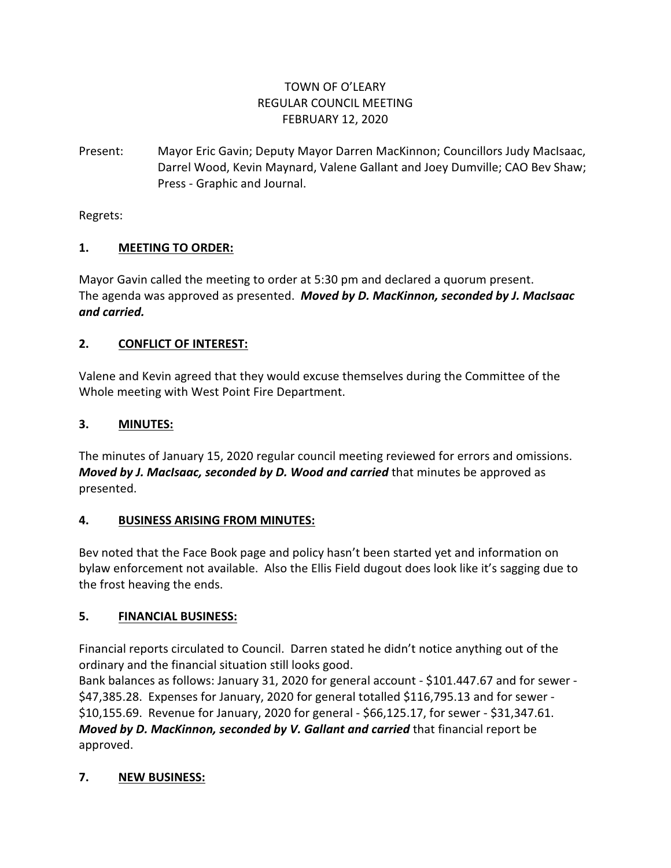# TOWN OF O'LEARY REGULAR COUNCIL MEETING FEBRUARY 12, 2020

Present: Mayor Eric Gavin; Deputy Mayor Darren MacKinnon; Councillors Judy MacIsaac, Darrel Wood, Kevin Maynard, Valene Gallant and Joey Dumville; CAO Bev Shaw; Press - Graphic and Journal.

Regrets:

# **1. MEETING TO ORDER:**

Mayor Gavin called the meeting to order at 5:30 pm and declared a quorum present. The agenda was approved as presented. *Moved by D. MacKinnon, seconded by J. MacIsaac and carried.*

# **2. CONFLICT OF INTEREST:**

Valene and Kevin agreed that they would excuse themselves during the Committee of the Whole meeting with West Point Fire Department.

# **3. MINUTES:**

The minutes of January 15, 2020 regular council meeting reviewed for errors and omissions. *Moved by J. MacIsaac, seconded by D. Wood and carried* that minutes be approved as presented.

### **4. BUSINESS ARISING FROM MINUTES:**

Bev noted that the Face Book page and policy hasn't been started yet and information on bylaw enforcement not available. Also the Ellis Field dugout does look like it's sagging due to the frost heaving the ends.

### **5. FINANCIAL BUSINESS:**

Financial reports circulated to Council. Darren stated he didn't notice anything out of the ordinary and the financial situation still looks good.

Bank balances as follows: January 31, 2020 for general account - \$101.447.67 and for sewer - \$47,385.28. Expenses for January, 2020 for general totalled \$116,795.13 and for sewer - \$10,155.69. Revenue for January, 2020 for general - \$66,125.17, for sewer - \$31,347.61. *Moved by D. MacKinnon, seconded by V. Gallant and carried* that financial report be approved.

### **7. NEW BUSINESS:**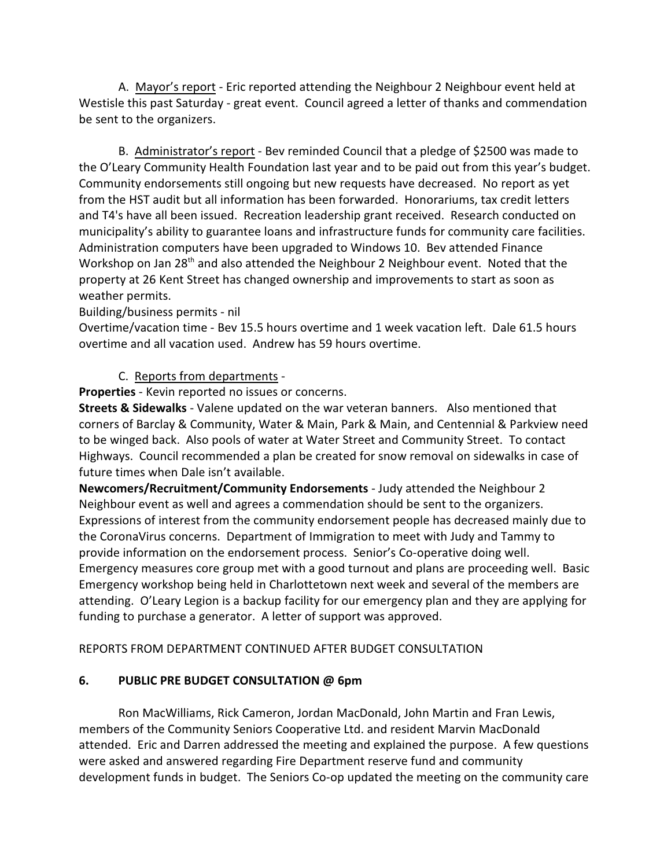A. Mayor's report - Eric reported attending the Neighbour 2 Neighbour event held at Westisle this past Saturday - great event. Council agreed a letter of thanks and commendation be sent to the organizers.

B. Administrator's report - Bev reminded Council that a pledge of \$2500 was made to the O'Leary Community Health Foundation last year and to be paid out from this year's budget. Community endorsements still ongoing but new requests have decreased. No report as yet from the HST audit but all information has been forwarded. Honorariums, tax credit letters and T4's have all been issued. Recreation leadership grant received. Research conducted on municipality's ability to guarantee loans and infrastructure funds for community care facilities. Administration computers have been upgraded to Windows 10. Bev attended Finance Workshop on Jan  $28<sup>th</sup>$  and also attended the Neighbour 2 Neighbour event. Noted that the property at 26 Kent Street has changed ownership and improvements to start as soon as weather permits.

#### Building/business permits - nil

Overtime/vacation time - Bev 15.5 hours overtime and 1 week vacation left. Dale 61.5 hours overtime and all vacation used. Andrew has 59 hours overtime.

### C. Reports from departments -

**Properties** - Kevin reported no issues or concerns.

**Streets & Sidewalks** - Valene updated on the war veteran banners. Also mentioned that corners of Barclay & Community, Water & Main, Park & Main, and Centennial & Parkview need to be winged back. Also pools of water at Water Street and Community Street. To contact Highways. Council recommended a plan be created for snow removal on sidewalks in case of future times when Dale isn't available.

**Newcomers/Recruitment/Community Endorsements** - Judy attended the Neighbour 2 Neighbour event as well and agrees a commendation should be sent to the organizers. Expressions of interest from the community endorsement people has decreased mainly due to the CoronaVirus concerns. Department of Immigration to meet with Judy and Tammy to provide information on the endorsement process. Senior's Co-operative doing well. Emergency measures core group met with a good turnout and plans are proceeding well. Basic Emergency workshop being held in Charlottetown next week and several of the members are attending. O'Leary Legion is a backup facility for our emergency plan and they are applying for funding to purchase a generator. A letter of support was approved.

REPORTS FROM DEPARTMENT CONTINUED AFTER BUDGET CONSULTATION

### **6. PUBLIC PRE BUDGET CONSULTATION @ 6pm**

Ron MacWilliams, Rick Cameron, Jordan MacDonald, John Martin and Fran Lewis, members of the Community Seniors Cooperative Ltd. and resident Marvin MacDonald attended. Eric and Darren addressed the meeting and explained the purpose. A few questions were asked and answered regarding Fire Department reserve fund and community development funds in budget. The Seniors Co-op updated the meeting on the community care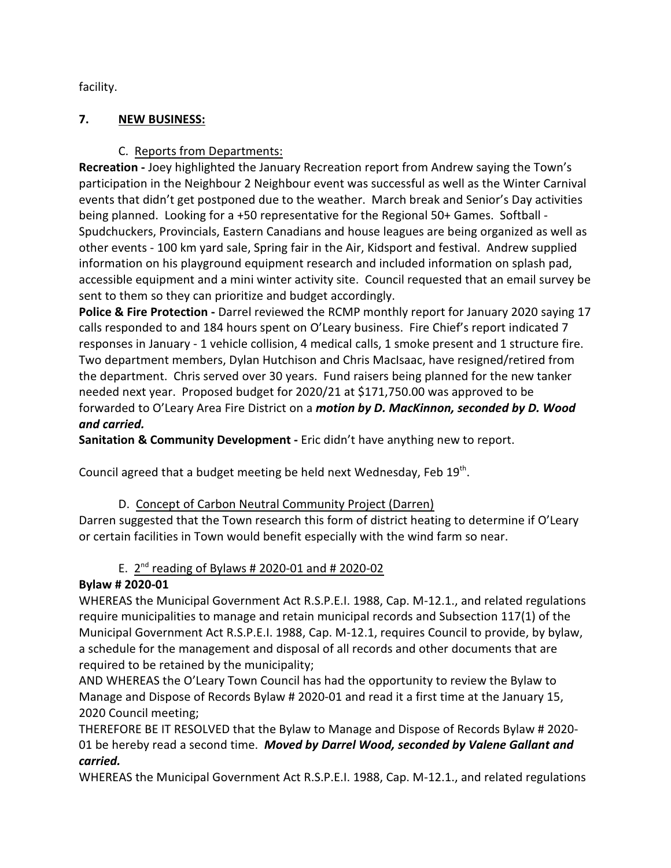facility.

### **7. NEW BUSINESS:**

# C. Reports from Departments:

**Recreation -** Joey highlighted the January Recreation report from Andrew saying the Town's participation in the Neighbour 2 Neighbour event was successful as well as the Winter Carnival events that didn't get postponed due to the weather. March break and Senior's Day activities being planned. Looking for a +50 representative for the Regional 50+ Games. Softball - Spudchuckers, Provincials, Eastern Canadians and house leagues are being organized as well as other events - 100 km yard sale, Spring fair in the Air, Kidsport and festival. Andrew supplied information on his playground equipment research and included information on splash pad, accessible equipment and a mini winter activity site. Council requested that an email survey be sent to them so they can prioritize and budget accordingly.

**Police & Fire Protection -** Darrel reviewed the RCMP monthly report for January 2020 saying 17 calls responded to and 184 hours spent on O'Leary business. Fire Chief's report indicated 7 responses in January - 1 vehicle collision, 4 medical calls, 1 smoke present and 1 structure fire. Two department members, Dylan Hutchison and Chris MacIsaac, have resigned/retired from the department. Chris served over 30 years. Fund raisers being planned for the new tanker needed next year. Proposed budget for 2020/21 at \$171,750.00 was approved to be forwarded to O'Leary Area Fire District on a *motion by D. MacKinnon, seconded by D. Wood and carried.*

**Sanitation & Community Development -** Eric didn't have anything new to report.

Council agreed that a budget meeting be held next Wednesday, Feb  $19^{th}$ .

### D. Concept of Carbon Neutral Community Project (Darren)

Darren suggested that the Town research this form of district heating to determine if O'Leary or certain facilities in Town would benefit especially with the wind farm so near.

# E.  $2^{nd}$  reading of Bylaws # 2020-01 and # 2020-02

# **Bylaw # 2020-01**

WHEREAS the Municipal Government Act R.S.P.E.I. 1988, Cap. M-12.1., and related regulations require municipalities to manage and retain municipal records and Subsection 117(1) of the Municipal Government Act R.S.P.E.I. 1988, Cap. M-12.1, requires Council to provide, by bylaw, a schedule for the management and disposal of all records and other documents that are required to be retained by the municipality;

AND WHEREAS the O'Leary Town Council has had the opportunity to review the Bylaw to Manage and Dispose of Records Bylaw # 2020-01 and read it a first time at the January 15, 2020 Council meeting;

THEREFORE BE IT RESOLVED that the Bylaw to Manage and Dispose of Records Bylaw # 2020- 01 be hereby read a second time. *Moved by Darrel Wood, seconded by Valene Gallant and carried.*

WHEREAS the Municipal Government Act R.S.P.E.I. 1988, Cap. M-12.1., and related regulations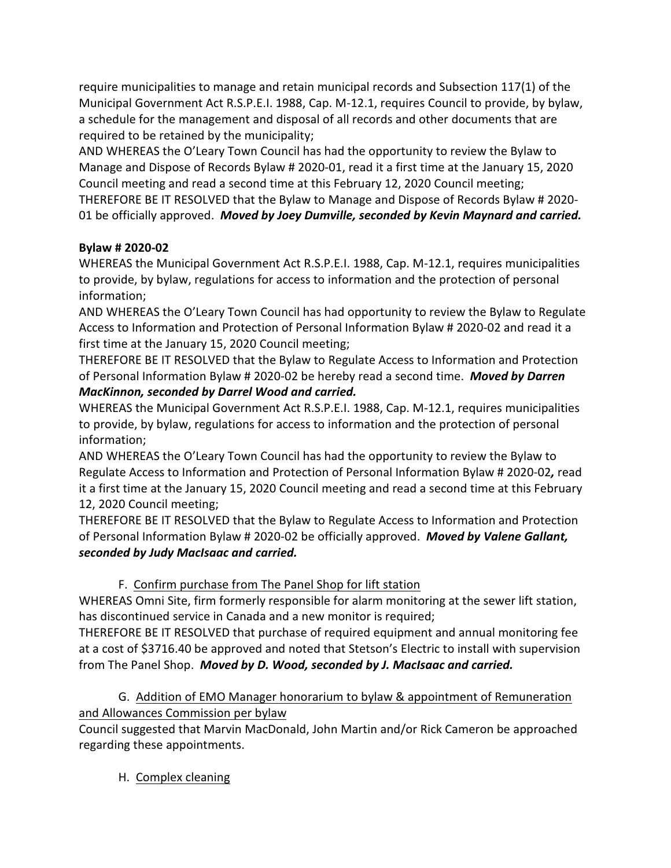require municipalities to manage and retain municipal records and Subsection 117(1) of the Municipal Government Act R.S.P.E.I. 1988, Cap. M-12.1, requires Council to provide, by bylaw, a schedule for the management and disposal of all records and other documents that are required to be retained by the municipality;

AND WHEREAS the O'Leary Town Council has had the opportunity to review the Bylaw to Manage and Dispose of Records Bylaw # 2020-01, read it a first time at the January 15, 2020 Council meeting and read a second time at this February 12, 2020 Council meeting; THEREFORE BE IT RESOLVED that the Bylaw to Manage and Dispose of Records Bylaw # 2020- 01 be officially approved. *Moved by Joey Dumville, seconded by Kevin Maynard and carried.*

# **Bylaw # 2020-02**

WHEREAS the Municipal Government Act R.S.P.E.I. 1988, Cap. M-12.1, requires municipalities to provide, by bylaw, regulations for access to information and the protection of personal information;

AND WHEREAS the O'Leary Town Council has had opportunity to review the Bylaw to Regulate Access to Information and Protection of Personal Information Bylaw # 2020-02 and read it a first time at the January 15, 2020 Council meeting;

THEREFORE BE IT RESOLVED that the Bylaw to Regulate Access to Information and Protection of Personal Information Bylaw # 2020-02 be hereby read a second time. *Moved by Darren MacKinnon, seconded by Darrel Wood and carried.*

WHEREAS the Municipal Government Act R.S.P.E.I. 1988, Cap. M-12.1, requires municipalities to provide, by bylaw, regulations for access to information and the protection of personal information;

AND WHEREAS the O'Leary Town Council has had the opportunity to review the Bylaw to Regulate Access to Information and Protection of Personal Information Bylaw # 2020-02*,* read it a first time at the January 15, 2020 Council meeting and read a second time at this February 12, 2020 Council meeting;

THEREFORE BE IT RESOLVED that the Bylaw to Regulate Access to Information and Protection of Personal Information Bylaw # 2020-02 be officially approved. *Moved by Valene Gallant, seconded by Judy MacIsaac and carried.*

F. Confirm purchase from The Panel Shop for lift station

WHEREAS Omni Site, firm formerly responsible for alarm monitoring at the sewer lift station, has discontinued service in Canada and a new monitor is required;

THEREFORE BE IT RESOLVED that purchase of required equipment and annual monitoring fee at a cost of \$3716.40 be approved and noted that Stetson's Electric to install with supervision from The Panel Shop. *Moved by D. Wood, seconded by J. MacIsaac and carried.*

G. Addition of EMO Manager honorarium to bylaw & appointment of Remuneration and Allowances Commission per bylaw

Council suggested that Marvin MacDonald, John Martin and/or Rick Cameron be approached regarding these appointments.

H. Complex cleaning